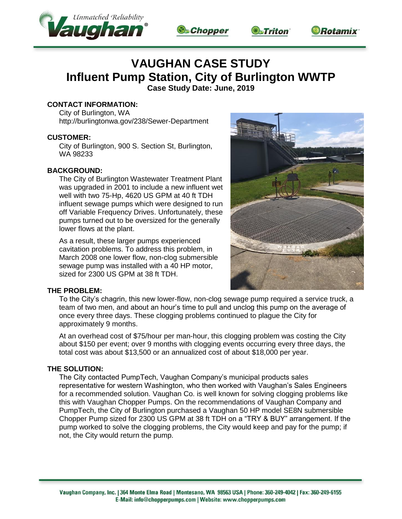







# **VAUGHAN CASE STUDY Influent Pump Station, City of Burlington WWTP**

**Case Study Date: June, 2019**

# **CONTACT INFORMATION:**

City of Burlington, WA http://burlingtonwa.gov/238/Sewer-Department

### **CUSTOMER:**

City of Burlington, 900 S. Section St, Burlington, WA 98233

## **BACKGROUND:**

The City of Burlington Wastewater Treatment Plant was upgraded in 2001 to include a new influent wet well with two 75-Hp, 4620 US GPM at 40 ft TDH influent sewage pumps which were designed to run off Variable Frequency Drives. Unfortunately, these pumps turned out to be oversized for the generally lower flows at the plant.

As a result, these larger pumps experienced cavitation problems. To address this problem, in March 2008 one lower flow, non-clog submersible sewage pump was installed with a 40 HP motor, sized for 2300 US GPM at 38 ft TDH.



### **THE PROBLEM:**

To the City's chagrin, this new lower-flow, non-clog sewage pump required a service truck, a team of two men, and about an hour's time to pull and unclog this pump on the average of once every three days. These clogging problems continued to plague the City for approximately 9 months.

At an overhead cost of \$75/hour per man-hour, this clogging problem was costing the City about \$150 per event; over 9 months with clogging events occurring every three days, the total cost was about \$13,500 or an annualized cost of about \$18,000 per year.

### **THE SOLUTION:**

The City contacted PumpTech, Vaughan Company's municipal products sales representative for western Washington, who then worked with Vaughan's Sales Engineers for a recommended solution. Vaughan Co. is well known for solving clogging problems like this with Vaughan Chopper Pumps. On the recommendations of Vaughan Company and PumpTech, the City of Burlington purchased a Vaughan 50 HP model SE8N submersible Chopper Pump sized for 2300 US GPM at 38 ft TDH on a "TRY & BUY" arrangement. If the pump worked to solve the clogging problems, the City would keep and pay for the pump; if not, the City would return the pump.